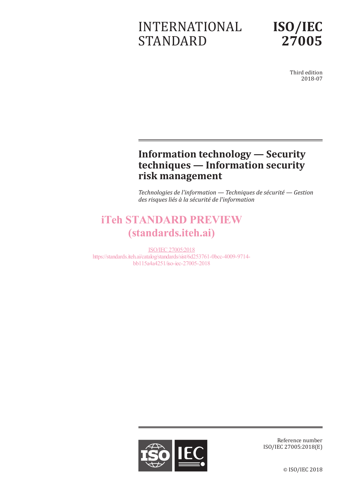# INTERNATIONAL STANDARD



Third edition 2018-07

### **Information technology — Security techniques — Information security risk management**

*Technologies de l'information — Techniques de sécurité — Gestion des risques liés à la sécurité de l'information*

# iTeh STANDARD PREVIEW (standards.iteh.ai)

ISO/IEC 27005:2018 https://standards.iteh.ai/catalog/standards/sist/6d253761-0bcc-4009-9714 bb115a4a4251/iso-iec-27005-2018



Reference number ISO/IEC 27005:2018(E)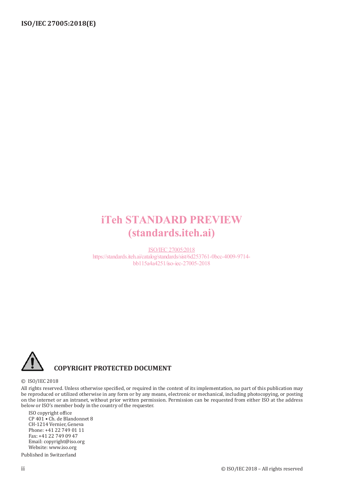# iTeh STANDARD PREVIEW (standards.iteh.ai)

ISO/IEC 27005:2018 https://standards.iteh.ai/catalog/standards/sist/6d253761-0bcc-4009-9714 bb115a4a4251/iso-iec-27005-2018



### **COPYRIGHT PROTECTED DOCUMENT**

#### © ISO/IEC 2018

All rights reserved. Unless otherwise specified, or required in the context of its implementation, no part of this publication may be reproduced or utilized otherwise in any form or by any means, electronic or mechanical, including photocopying, or posting on the internet or an intranet, without prior written permission. Permission can be requested from either ISO at the address below or ISO's member body in the country of the requester.

ISO copyright office CP 401 • Ch. de Blandonnet 8 CH-1214 Vernier, Geneva Phone: +41 22 749 01 11 Fax: +41 22 749 09 47 Email: copyright@iso.org Website: www.iso.org

Published in Switzerland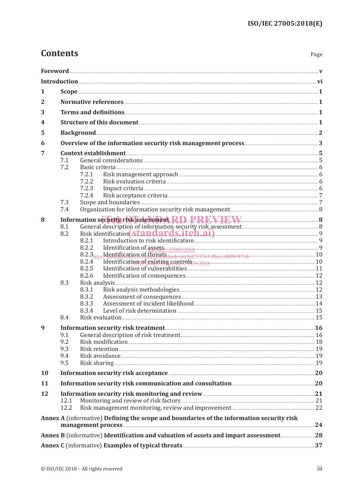### **Contents**

| 1         |                                                                          |                                                                                                                                                                                                                                     |  |
|-----------|--------------------------------------------------------------------------|-------------------------------------------------------------------------------------------------------------------------------------------------------------------------------------------------------------------------------------|--|
|           |                                                                          |                                                                                                                                                                                                                                     |  |
| 2         |                                                                          |                                                                                                                                                                                                                                     |  |
| 3         |                                                                          | Terms and definitions <b>Exercise According to the Contract of According 1</b>                                                                                                                                                      |  |
| 4         |                                                                          |                                                                                                                                                                                                                                     |  |
| 5         |                                                                          | Background 2                                                                                                                                                                                                                        |  |
| 6         |                                                                          |                                                                                                                                                                                                                                     |  |
| 7         |                                                                          |                                                                                                                                                                                                                                     |  |
|           | 7.1                                                                      |                                                                                                                                                                                                                                     |  |
|           | 7.2                                                                      |                                                                                                                                                                                                                                     |  |
|           |                                                                          | 7.2.1                                                                                                                                                                                                                               |  |
|           |                                                                          | 7.2.2                                                                                                                                                                                                                               |  |
|           |                                                                          | 7.2.3                                                                                                                                                                                                                               |  |
|           |                                                                          | 7.2.4                                                                                                                                                                                                                               |  |
|           | 7.3                                                                      |                                                                                                                                                                                                                                     |  |
|           | 7.4                                                                      |                                                                                                                                                                                                                                     |  |
|           |                                                                          |                                                                                                                                                                                                                                     |  |
| 8         |                                                                          | Information security risk assessment R.D. PREVIEW EW                                                                                                                                                                                |  |
|           | 8.1                                                                      |                                                                                                                                                                                                                                     |  |
|           | 8.2                                                                      |                                                                                                                                                                                                                                     |  |
|           |                                                                          | 8.2.1                                                                                                                                                                                                                               |  |
|           |                                                                          | 8.2.2                                                                                                                                                                                                                               |  |
|           |                                                                          | $8.2.3$ <sub>https</sub> Jdentification; of threats, and sixted 353761-0bcc-4009-9714-                                                                                                                                              |  |
|           |                                                                          | Identification of existing controls 5-2018<br>8.2.4                                                                                                                                                                                 |  |
|           |                                                                          | 8.2.5                                                                                                                                                                                                                               |  |
|           |                                                                          | 8.2.6                                                                                                                                                                                                                               |  |
|           | 8.3                                                                      |                                                                                                                                                                                                                                     |  |
|           |                                                                          | 8.3.1                                                                                                                                                                                                                               |  |
|           |                                                                          | 8.3.2                                                                                                                                                                                                                               |  |
|           |                                                                          | 8.3.3                                                                                                                                                                                                                               |  |
|           |                                                                          | 8.3.4                                                                                                                                                                                                                               |  |
|           | 8.4                                                                      |                                                                                                                                                                                                                                     |  |
| 9         |                                                                          |                                                                                                                                                                                                                                     |  |
|           | 9.1                                                                      |                                                                                                                                                                                                                                     |  |
|           | 9.2                                                                      |                                                                                                                                                                                                                                     |  |
|           | 9.3                                                                      |                                                                                                                                                                                                                                     |  |
|           | 9.4                                                                      |                                                                                                                                                                                                                                     |  |
|           | 9.5                                                                      |                                                                                                                                                                                                                                     |  |
| <b>10</b> |                                                                          | Information security risk acceptance <b>Exerces</b> 20                                                                                                                                                                              |  |
| 11        |                                                                          |                                                                                                                                                                                                                                     |  |
| 12        |                                                                          |                                                                                                                                                                                                                                     |  |
|           | Information security risk monitoring and review <b>Example 21</b> and 21 |                                                                                                                                                                                                                                     |  |
|           | 12.1<br>12.2                                                             |                                                                                                                                                                                                                                     |  |
|           |                                                                          |                                                                                                                                                                                                                                     |  |
|           |                                                                          | Annex A (informative) Defining the scope and boundaries of the information security risk                                                                                                                                            |  |
|           |                                                                          |                                                                                                                                                                                                                                     |  |
|           |                                                                          |                                                                                                                                                                                                                                     |  |
|           |                                                                          | Annex C (informative) Examples of typical threats <b>Examples</b> of typical and the state of the state of the state of typical state of the state of the state of the state of the state of the state of the state of the state of |  |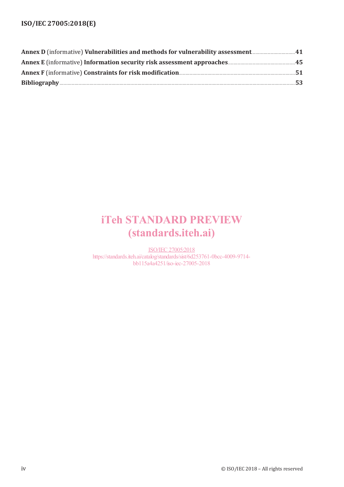### **ISO/IEC 27005:2018(E)**

| -51 |
|-----|
| 53. |

# iTeh STANDARD PREVIEW (standards.iteh.ai)

ISO/IEC 27005:2018 https://standards.iteh.ai/catalog/standards/sist/6d253761-0bcc-4009-9714bb115a4a4251/iso-iec-27005-2018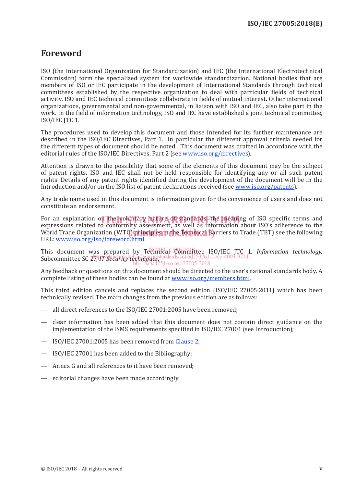### **Foreword**

ISO (the International Organization for Standardization) and IEC (the International Electrotechnical Commission) form the specialized system for worldwide standardization. National bodies that are members of ISO or IEC participate in the development of International Standards through technical committees established by the respective organization to deal with particular fields of technical activity. ISO and IEC technical committees collaborate in fields of mutual interest. Other international organizations, governmental and non-governmental, in liaison with ISO and IEC, also take part in the work. In the field of information technology, ISO and IEC have established a joint technical committee, ISO/IEC JTC 1.

The procedures used to develop this document and those intended for its further maintenance are described in the ISO/IEC Directives, Part 1. In particular the different approval criteria needed for the different types of document should be noted. This document was drafted in accordance with the editorial rules of the ISO/IEC Directives, Part 2 (see www.iso.org/directives).

Attention is drawn to the possibility that some of the elements of this document may be the subject of patent rights. ISO and IEC shall not be held responsible for identifying any or all such patent rights. Details of any patent rights identified during the development of the document will be in the Introduction and/or on the ISO list of patent declarations received (see www.iso.org/patents).

Any trade name used in this document is information given for the convenience of users and does not constitute an endorsement.

For an explanation on the voluntary nature of standards, the meaning of ISO specific terms and<br>expressions related to conformity assessment, as well as information about ISO's adherence to the expressions related to conformity assessment, as well as information about ISO's adherence to the United to containing assessment, as well as information assat 1505 and the the come<br>World Trade Organization (WTO) principles in the Technical Barriers to Trade (TBT) see the following URL: www.iso.org/iso/foreword.html.

This document was prepared by Technical Committee ISO/IEC JTC 1, *Information technology*, **Subcommittee SC 27,** *IT Security techniques*<br>Subcommittee SC 27, *IT Security techniques*. bb115a4a4251/iso-iec-27005-2018

Any feedback or questions on this document should be directed to the user's national standards body. A complete listing of these bodies can be found at www.iso.org/members.html.

This third edition cancels and replaces the second edition (ISO/IEC 27005:2011) which has been technically revised. The main changes from the previous edition are as follows:

- all direct references to the ISO/IEC 27001:2005 have been removed;
- clear information has been added that this document does not contain direct guidance on the implementation of the ISMS requirements specified in ISO/IEC 27001 (see Introduction);
- ISO/IEC 27001:2005 has been removed from Clause 2;
- ISO/IEC 27001 has been added to the Bibliography;
- Annex G and all references to it have been removed;
- editorial changes have been made accordingly.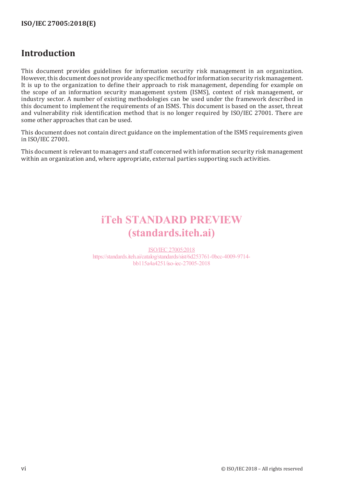### **Introduction**

This document provides guidelines for information security risk management in an organization. However, this document does not provide any specific method for information security risk management. It is up to the organization to define their approach to risk management, depending for example on the scope of an information security management system (ISMS), context of risk management, or industry sector. A number of existing methodologies can be used under the framework described in this document to implement the requirements of an ISMS. This document is based on the asset, threat and vulnerability risk identification method that is no longer required by ISO/IEC 27001. There are some other approaches that can be used.

This document does not contain direct guidance on the implementation of the ISMS requirements given in ISO/IEC 27001.

This document is relevant to managers and staff concerned with information security risk management within an organization and, where appropriate, external parties supporting such activities.

# iTeh STANDARD PREVIEW (standards.iteh.ai)

ISO/IEC 27005:2018 https://standards.iteh.ai/catalog/standards/sist/6d253761-0bcc-4009-9714 bb115a4a4251/iso-iec-27005-2018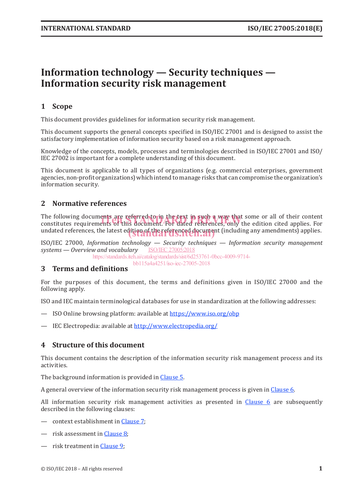### **Information technology — Security techniques — Information security risk management**

#### **1 Scope**

This document provides guidelines for information security risk management.

This document supports the general concepts specified in ISO/IEC 27001 and is designed to assist the satisfactory implementation of information security based on a risk management approach.

Knowledge of the concepts, models, processes and terminologies described in ISO/IEC 27001 and ISO/ IEC 27002 is important for a complete understanding of this document.

This document is applicable to all types of organizations (e.g. commercial enterprises, government agencies, non-profit organizations) which intend to manage risks that can compromise the organization's information security.

#### **2 Normative references**

The following documents are referred to in the text in such a way that some or all of their content The following documents are referred to in the text in such a way that some or all of their content constitutes requirements of this document. For dated references, only the edition cited applies. For undated references, the latest edition of the referenced document (including any amendments) applies.

ISO/IEC 27000, *Information technology — Security techniques — Information security management systems — Overview and vocabulary* ISO/IEC 27005:2018

https://standards.iteh.ai/catalog/standards/sist/6d253761-0bcc-4009-9714-

bb115a4a4251/iso-iec-27005-2018

#### **3 Terms and definitions**

For the purposes of this document, the terms and definitions given in ISO/IEC 27000 and the following apply.

ISO and IEC maintain terminological databases for use in standardization at the following addresses:

- ISO Online browsing platform: available at https://www.iso.org/obp
- IEC Electropedia: available at http://www.electropedia.org/

#### **4 Structure of this document**

This document contains the description of the information security risk management process and its activities.

The background information is provided in Clause 5.

A general overview of the information security risk management process is given in Clause 6.

All information security risk management activities as presented in Clause 6 are subsequently described in the following clauses:

- context establishment in Clause 7;
- risk assessment in Clause 8;
- risk treatment in Clause 9;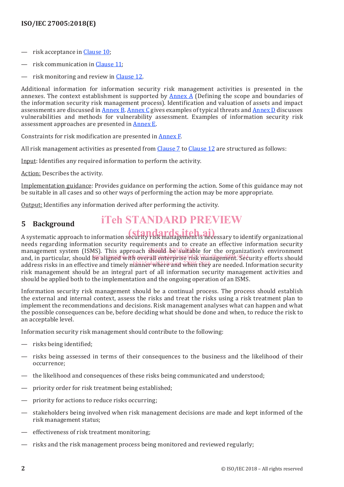- risk acceptance in Clause 10;
- risk communication in Clause 11:
- risk monitoring and review in Clause 12.

Additional information for information security risk management activities is presented in the annexes. The context establishment is supported by  $\Delta$  (Defining the scope and boundaries of the information security risk management process). Identification and valuation of assets and impact assessments are discussed in **Annex B. Annex C** gives examples of typical threats and **Annex D** discusses vulnerabilities and methods for vulnerability assessment. Examples of information security risk assessment approaches are presented in Annex E.

Constraints for risk modification are presented in Annex F.

All risk management activities as presented from **Clause 7** to **Clause 12** are structured as follows:

Input: Identifies any required information to perform the activity.

Action: Describes the activity.

Implementation guidance: Provides guidance on performing the action. Some of this guidance may not be suitable in all cases and so other ways of performing the action may be more appropriate.

Output: Identifies any information derived after performing the activity.

#### **5 Background**

### iTeh STANDARD PREVIEW

A systematic approach to information security risk management is necessary to identify organizational needs regarding information security requirements and to create an effective information security management system (ISMS). This approach should be suitable for the organization's environment and, in particular, should be aligned with overall enterprise H3R3761nagement. Security efforts should address risks in an effective and timely manher where and when they are needed. Information security risk management should be an integral part of all information security management activities and should be applied both to the implementation and the ongoing operation of an ISMS.

Information security risk management should be a continual process. The process should establish the external and internal context, assess the risks and treat the risks using a risk treatment plan to implement the recommendations and decisions. Risk management analyses what can happen and what the possible consequences can be, before deciding what should be done and when, to reduce the risk to an acceptable level.

Information security risk management should contribute to the following:

- risks being identified;
- risks being assessed in terms of their consequences to the business and the likelihood of their occurrence;
- the likelihood and consequences of these risks being communicated and understood;
- priority order for risk treatment being established;
- priority for actions to reduce risks occurring;
- stakeholders being involved when risk management decisions are made and kept informed of the risk management status;
- effectiveness of risk treatment monitoring;
- risks and the risk management process being monitored and reviewed regularly;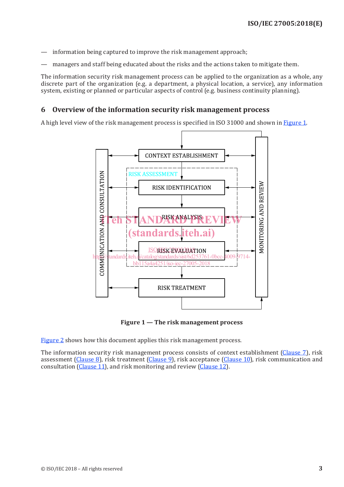- information being captured to improve the risk management approach;
- managers and staff being educated about the risks and the actions taken to mitigate them.

The information security risk management process can be applied to the organization as a whole, any discrete part of the organization (e.g. a department, a physical location, a service), any information system, existing or planned or particular aspects of control (e.g. business continuity planning).

#### **6 Overview of the information security risk management process**

A high level view of the risk management process is specified in ISO 31000 and shown in Figure 1.



**Figure 1 — The risk management process**

Figure 2 shows how this document applies this risk management process.

The information security risk management process consists of context establishment (Clause 7), risk assessment (Clause 8), risk treatment (Clause 9), risk acceptance (Clause 10), risk communication and consultation (Clause 11), and risk monitoring and review (Clause 12).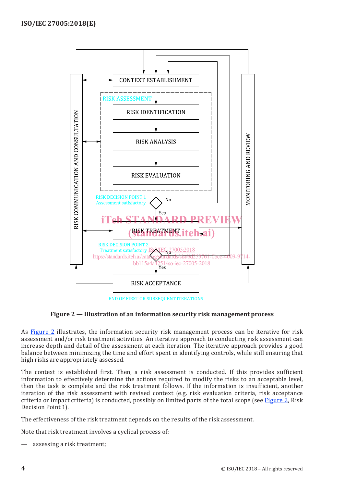

**END OF FIRST OR SUBSEQUENT ITERATIONS** 

**Figure 2 — Illustration of an information security risk management process**

As Figure 2 illustrates, the information security risk management process can be iterative for risk assessment and/or risk treatment activities. An iterative approach to conducting risk assessment can increase depth and detail of the assessment at each iteration. The iterative approach provides a good balance between minimizing the time and effort spent in identifying controls, while still ensuring that high risks are appropriately assessed.

The context is established first. Then, a risk assessment is conducted. If this provides sufficient information to effectively determine the actions required to modify the risks to an acceptable level, then the task is complete and the risk treatment follows. If the information is insufficient, another iteration of the risk assessment with revised context (e.g. risk evaluation criteria, risk acceptance criteria or impact criteria) is conducted, possibly on limited parts of the total scope (see Figure 2, Risk Decision Point 1).

The effectiveness of the risk treatment depends on the results of the risk assessment.

Note that risk treatment involves a cyclical process of:

assessing a risk treatment;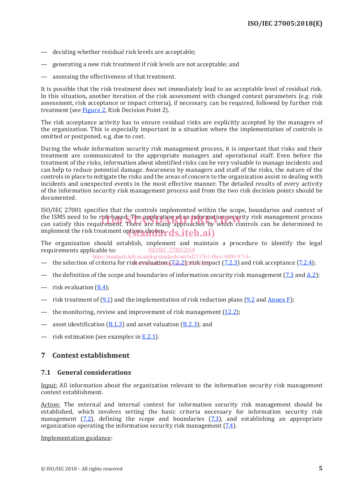- deciding whether residual risk levels are acceptable;
- generating a new risk treatment if risk levels are not acceptable; and
- assessing the effectiveness of that treatment.

It is possible that the risk treatment does not immediately lead to an acceptable level of residual risk. In this situation**,** another iteration of the risk assessment with changed context parameters (e.g. risk assessment, risk acceptance or impact criteria), if necessary, can be required, followed by further risk treatment (see Figure 2, Risk Decision Point 2).

The risk acceptance activity has to ensure residual risks are explicitly accepted by the managers of the organization. This is especially important in a situation where the implementation of controls is omitted or postponed, e.g. due to cost.

During the whole information security risk management process, it is important that risks and their treatment are communicated to the appropriate managers and operational staff. Even before the treatment of the risks, information about identified risks can be very valuable to manage incidents and can help to reduce potential damage. Awareness by managers and staff of the risks, the nature of the controls in place to mitigate the risks and the areas of concern to the organization assist in dealing with incidents and unexpected events in the most effective manner. The detailed results of every activity of the information security risk management process and from the two risk decision points should be documented.

ISO/IEC 27001 specifies that the controls implemented within the scope, boundaries and context of the ISMS need to be risk-based. The application of an information security risk management process the ISMS need to be risk-based. The application of an information security risk management process<br>can satisfy this requirement. There are many approaches by which controls can be determined to implement the risk treatment options chosenrds.iteh.ai)

The organization should establish, implement and maintain a procedure to identify the legal requirements applicable to: ISO/IEC 27005:2018

https://standards.iteh.ai/catalog/standards/sist/6d253761-0bcc-4009-9714-

- the selection of criteria for risk evaluation (<u>7.2.2</u>), misk impact (<u>7.2.3</u>) and risk acceptance (<u>7.2.4</u>);
- the definition of the scope and boundaries of information security risk management  $(7.3 \text{ and } A.2)$ ;
- $-$  risk evaluation  $(8.4)$ ;
- risk treatment of  $(9.1)$  and the implementation of risk reduction plans  $(9.2 \text{ and } \text{Annex F})$ ;
- the monitoring, review and improvement of risk management  $(12.2)$ ;
- asset identification (B.1.3) and asset valuation (B.2.3); and
- risk estimation (see examples in  $E.2.1$ ).

#### **7 Context establishment**

#### **7.1 General considerations**

Input: All information about the organization relevant to the information security risk management context establishment.

Action: The external and internal context for information security risk management should be established, which involves setting the basic criteria necessary for information security risk management  $(7.2)$ , defining the scope and boundaries  $(7.3)$ , and establishing an appropriate organization operating the information security risk management (7.4).

Implementation guidance: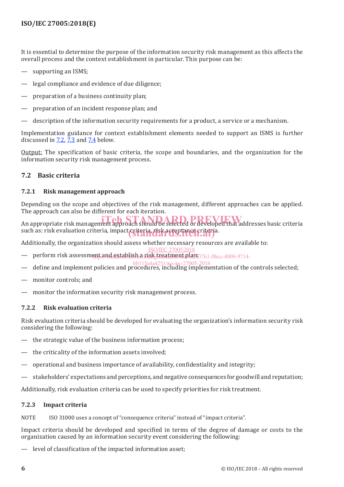It is essential to determine the purpose of the information security risk management as this affects the overall process and the context establishment in particular. This purpose can be:

- supporting an ISMS:
- legal compliance and evidence of due diligence;
- preparation of a business continuity plan;
- preparation of an incident response plan; and
- description of the information security requirements for a product, a service or a mechanism.

Implementation guidance for context establishment elements needed to support an ISMS is further discussed in 7.2, 7.3 and 7.4 below.

Output: The specification of basic criteria, the scope and boundaries, and the organization for the information security risk management process.

#### **7.2 Basic criteria**

#### **7.2.1 Risk management approach**

Depending on the scope and objectives of the risk management, different approaches can be applied. The approach can also be different for each iteration.

An appropriate risk management approach should be selected or developed that addresses basic criteria such as: risk evaluation criteria, impact <mark>criteria, risk acceptance criter</mark>ia.

Additionally, the organization should assess whether necessary resources are available to:

ISO/IEC 27005:2018

- perform risk assessment and restablish a risk treatment plan;3761-0bcc-4009-9714-
- define and implement policies and procedures, including implementation of the controls selected; bb115a4a4251/iso-iec-27005-2018
- monitor controls; and
- monitor the information security risk management process.

#### **7.2.2 Risk evaluation criteria**

Risk evaluation criteria should be developed for evaluating the organization's information security risk considering the following:

- the strategic value of the business information process;
- the criticality of the information assets involved:
- operational and business importance of availability, confidentiality and integrity;
- stakeholders' expectations and perceptions, and negative consequences for goodwill and reputation;

Additionally, risk evaluation criteria can be used to specify priorities for risk treatment.

#### **7.2.3 Impact criteria**

NOTE ISO 31000 uses a concept of "consequence criteria" instead of "impact criteria".

Impact criteria should be developed and specified in terms of the degree of damage or costs to the organization caused by an information security event considering the following:

— level of classification of the impacted information asset;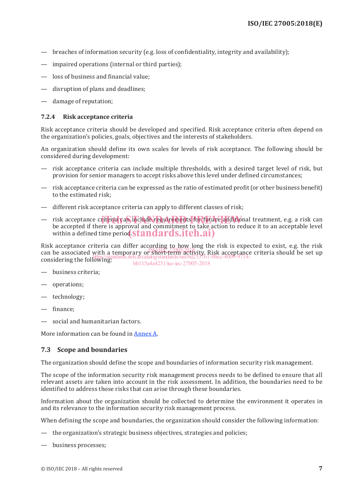- breaches of information security (e.g. loss of confidentiality, integrity and availability);
- impaired operations (internal or third parties);
- loss of business and financial value;
- disruption of plans and deadlines;
- damage of reputation;

#### **7.2.4 Risk acceptance criteria**

Risk acceptance criteria should be developed and specified. Risk acceptance criteria often depend on the organization's policies, goals, objectives and the interests of stakeholders.

An organization should define its own scales for levels of risk acceptance. The following should be considered during development:

- risk acceptance criteria can include multiple thresholds, with a desired target level of risk, but provision for senior managers to accept risks above this level under defined circumstances;
- risk acceptance criteria can be expressed as the ratio of estimated profit (or other business benefit) to the estimated risk;
- different risk acceptance criteria can apply to different classes of risk;
- risk acceptance criteria can include requirements for future additional treatment, e.g. a risk can be accepted if there is approval and commitment to take action to reduce it to an acceptable level be accepted if there is approval and commitment to take action to reduce it to an acceptable level be accepted it there is approval and commitment to take at<br>within a defined time period. **Standards.itch.ai**)

Risk acceptance criteria can differ according to how long the risk is expected to exist, e.g. the risk rest acceptance criteria can unter according by the system activity. Risk acceptance criteria should be set up<br>can be associated with a temporary or short-term activity. Risk acceptance criteria should be set up considering the following: https://standards.iteh.ai/catalog/standards/sist/6d253761-0bcc-4009-9714 bb115a4a4251/iso-iec-27005-2018

- business criteria;
- operations;
- technology;
- finance;
- social and humanitarian factors.

More information can be found in Annex A.

#### **7.3 Scope and boundaries**

The organization should define the scope and boundaries of information security risk management.

The scope of the information security risk management process needs to be defined to ensure that all relevant assets are taken into account in the risk assessment. In addition, the boundaries need to be identified to address those risks that can arise through these boundaries.

Information about the organization should be collected to determine the environment it operates in and its relevance to the information security risk management process.

When defining the scope and boundaries, the organization should consider the following information:

- the organization's strategic business objectives, strategies and policies;
- business processes;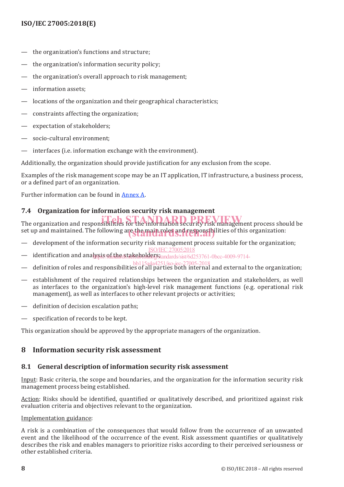### **ISO/IEC 27005:2018(E)**

- the organization's functions and structure;
- the organization's information security policy;
- the organization's overall approach to risk management;
- information assets:
- locations of the organization and their geographical characteristics;
- constraints affecting the organization;
- expectation of stakeholders:
- socio-cultural environment:
- interfaces (i.e. information exchange with the environment).

Additionally, the organization should provide justification for any exclusion from the scope.

Examples of the risk management scope may be an IT application, IT infrastructure, a business process, or a defined part of an organization.

Further information can be found in Annex A.

#### **7.4 Organization for information security risk management**

The organization and responsibilities for the information security risk management process should be set up and maintained. The following are the main roles and responsibilities of this organization:

- development of the information security risk management process suitable for the organization; ISO/IEC 27005:2018
- identification and analysis/of the stakeholders it and ards/sist/6d253761-0bcc-4009-9714-
- definition of roles and responsibilities of all parties both internal and external to the organization; bb115a4a4251/iso-iec-27005-2018
- establishment of the required relationships between the organization and stakeholders, as well as interfaces to the organization's high-level risk management functions (e.g. operational risk management), as well as interfaces to other relevant projects or activities;
- definition of decision escalation paths;
- specification of records to be kept.

This organization should be approved by the appropriate managers of the organization.

#### **8 Information security risk assessment**

#### **8.1 General description of information security risk assessment**

Input: Basic criteria, the scope and boundaries, and the organization for the information security risk management process being established.

Action: Risks should be identified, quantified or qualitatively described, and prioritized against risk evaluation criteria and objectives relevant to the organization.

#### Implementation guidance:

A risk is a combination of the consequences that would follow from the occurrence of an unwanted event and the likelihood of the occurrence of the event. Risk assessment quantifies or qualitatively describes the risk and enables managers to prioritize risks according to their perceived seriousness or other established criteria.